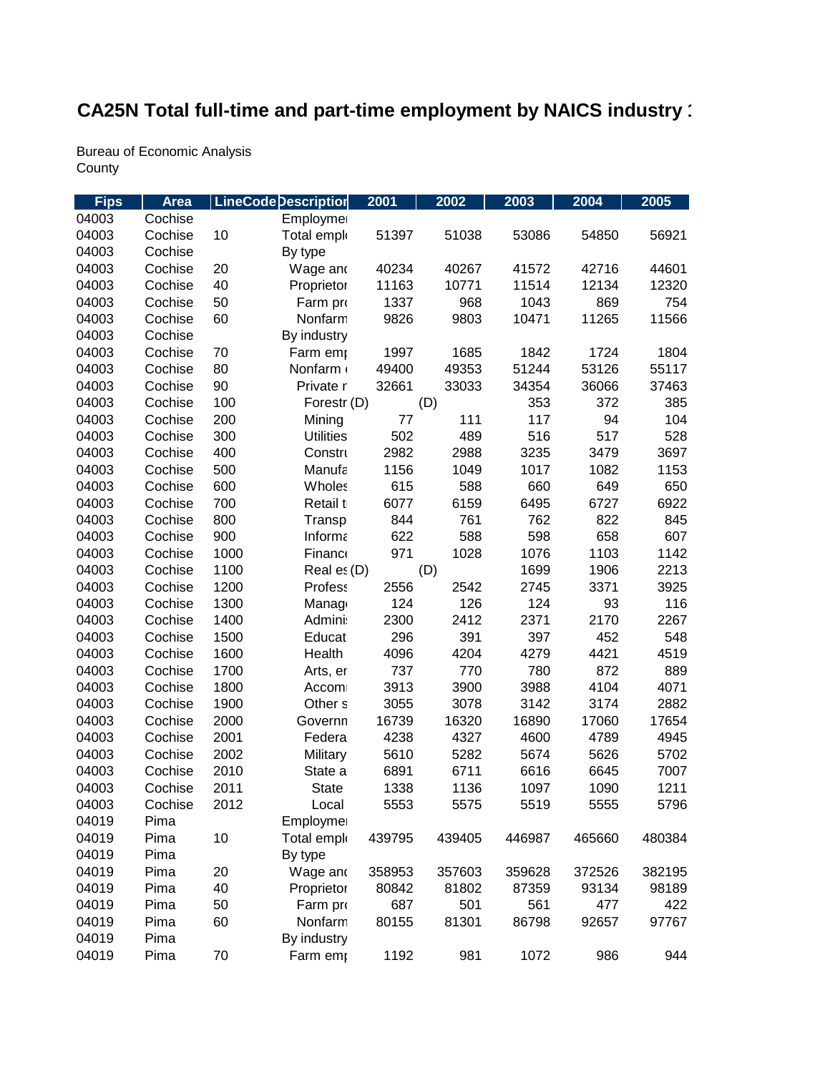## CA25N Total full-time and part-time employment by NAICS industry '

**Bureau of Economic Analysis** County

| <b>Fips</b> | <b>Area</b> |      | <b>LineCode Description</b> | 2001   | 2002   | 2003   | 2004   | 2005   |
|-------------|-------------|------|-----------------------------|--------|--------|--------|--------|--------|
| 04003       | Cochise     |      | Employmer                   |        |        |        |        |        |
| 04003       | Cochise     | 10   | Total emplo                 | 51397  | 51038  | 53086  | 54850  | 56921  |
| 04003       | Cochise     |      | By type                     |        |        |        |        |        |
| 04003       | Cochise     | 20   | Wage and                    | 40234  | 40267  | 41572  | 42716  | 44601  |
| 04003       | Cochise     | 40   | Proprietor                  | 11163  | 10771  | 11514  | 12134  | 12320  |
| 04003       | Cochise     | 50   | Farm pro                    | 1337   | 968    | 1043   | 869    | 754    |
| 04003       | Cochise     | 60   | Nonfarm                     | 9826   | 9803   | 10471  | 11265  | 11566  |
| 04003       | Cochise     |      | By industry                 |        |        |        |        |        |
| 04003       | Cochise     | 70   | Farm emp                    | 1997   | 1685   | 1842   | 1724   | 1804   |
| 04003       | Cochise     | 80   | Nonfarm                     | 49400  | 49353  | 51244  | 53126  | 55117  |
| 04003       | Cochise     | 90   | Private r                   | 32661  | 33033  | 34354  | 36066  | 37463  |
| 04003       | Cochise     | 100  | Forestr (D)                 |        | (D)    | 353    | 372    | 385    |
| 04003       | Cochise     | 200  | Mining                      | 77     | 111    | 117    | 94     | 104    |
| 04003       | Cochise     | 300  | <b>Utilities</b>            | 502    | 489    | 516    | 517    | 528    |
| 04003       | Cochise     | 400  | Constru                     | 2982   | 2988   | 3235   | 3479   | 3697   |
| 04003       | Cochise     | 500  | Manufa                      | 1156   | 1049   | 1017   | 1082   | 1153   |
| 04003       | Cochise     | 600  | Wholes                      | 615    | 588    | 660    | 649    | 650    |
| 04003       | Cochise     | 700  | Retail t                    | 6077   | 6159   | 6495   | 6727   | 6922   |
| 04003       | Cochise     | 800  | Transp                      | 844    | 761    | 762    | 822    | 845    |
| 04003       | Cochise     | 900  | Informa                     | 622    | 588    | 598    | 658    | 607    |
| 04003       | Cochise     | 1000 | Finance                     | 971    | 1028   | 1076   | 1103   | 1142   |
| 04003       | Cochise     | 1100 | Real es (D)                 |        | (D)    | 1699   | 1906   | 2213   |
| 04003       | Cochise     | 1200 | <b>Profess</b>              | 2556   | 2542   | 2745   | 3371   | 3925   |
| 04003       | Cochise     | 1300 | Manago                      | 124    | 126    | 124    | 93     | 116    |
| 04003       | Cochise     | 1400 | Admini:                     | 2300   | 2412   | 2371   | 2170   | 2267   |
| 04003       | Cochise     | 1500 | Educat                      | 296    | 391    | 397    | 452    | 548    |
| 04003       | Cochise     | 1600 | Health                      | 4096   | 4204   | 4279   | 4421   | 4519   |
| 04003       | Cochise     | 1700 | Arts, er                    | 737    | 770    | 780    | 872    | 889    |
| 04003       | Cochise     | 1800 | Accom                       | 3913   | 3900   | 3988   | 4104   | 4071   |
| 04003       | Cochise     | 1900 | Other <sub>s</sub>          | 3055   | 3078   | 3142   | 3174   | 2882   |
| 04003       | Cochise     | 2000 | Governn                     | 16739  | 16320  | 16890  | 17060  | 17654  |
| 04003       | Cochise     | 2001 | Federa                      | 4238   | 4327   | 4600   | 4789   | 4945   |
| 04003       | Cochise     | 2002 | Military                    | 5610   | 5282   | 5674   | 5626   | 5702   |
| 04003       | Cochise     | 2010 | State a                     | 6891   | 6711   | 6616   | 6645   | 7007   |
| 04003       | Cochise     | 2011 | <b>State</b>                | 1338   | 1136   | 1097   | 1090   | 1211   |
| 04003       | Cochise     | 2012 | Local                       | 5553   | 5575   | 5519   | 5555   | 5796   |
| 04019       | Pima        |      | Employmer                   |        |        |        |        |        |
| 04019       | Pima        | 10   | Total emplo                 | 439795 | 439405 | 446987 | 465660 | 480384 |
| 04019       | Pima        |      | By type                     |        |        |        |        |        |
| 04019       | Pima        | 20   | Wage and                    | 358953 | 357603 | 359628 | 372526 | 382195 |
| 04019       | Pima        | 40   | Proprietor                  | 80842  | 81802  | 87359  | 93134  | 98189  |
| 04019       | Pima        | 50   | Farm pro                    | 687    | 501    | 561    | 477    | 422    |
| 04019       | Pima        | 60   | Nonfarm                     | 80155  | 81301  | 86798  | 92657  | 97767  |
| 04019       | Pima        |      | By industry                 |        |        |        |        |        |
| 04019       | Pima        | 70   | Farm emp                    | 1192   | 981    | 1072   | 986    | 944    |
|             |             |      |                             |        |        |        |        |        |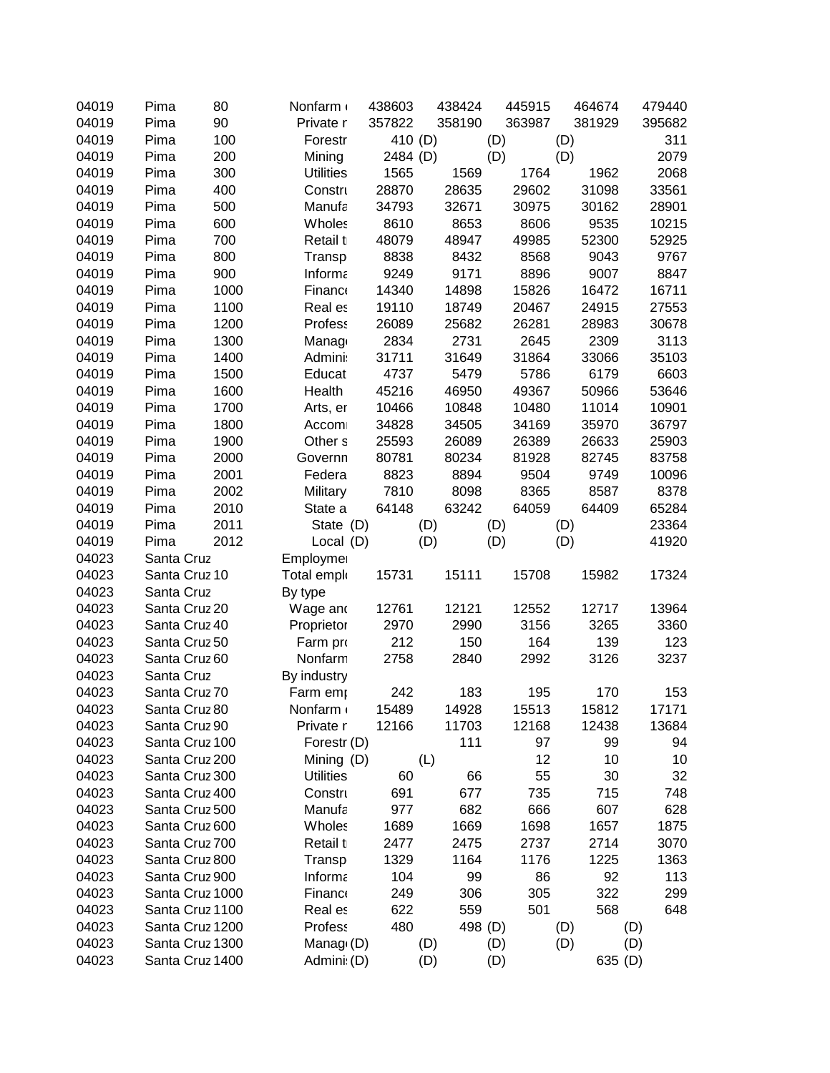| 04019 | Pima          | 80              | Nonfarm            | 438603   | 438424 | 445915  | 464674 | 479440  |
|-------|---------------|-----------------|--------------------|----------|--------|---------|--------|---------|
| 04019 | Pima          | 90              | Private r          | 357822   | 358190 | 363987  | 381929 | 395682  |
| 04019 | Pima          | 100             | Forestr            | 410 (D)  |        | (D)     | (D)    | 311     |
| 04019 | Pima          | 200             | Mining             | 2484 (D) |        | (D)     | (D)    | 2079    |
| 04019 | Pima          | 300             | <b>Utilities</b>   | 1565     | 1569   | 1764    | 1962   | 2068    |
| 04019 | Pima          | 400             | Constru            | 28870    | 28635  | 29602   | 31098  | 33561   |
| 04019 | Pima          | 500             | Manufa             | 34793    | 32671  | 30975   | 30162  | 28901   |
| 04019 | Pima          | 600             | Wholes             | 8610     | 8653   | 8606    | 9535   | 10215   |
| 04019 | Pima          | 700             | Retail t           | 48079    | 48947  | 49985   | 52300  | 52925   |
| 04019 | Pima          | 800             | Transp             | 8838     | 8432   | 8568    | 9043   | 9767    |
| 04019 | Pima          | 900             | Informa            | 9249     | 9171   | 8896    | 9007   | 8847    |
| 04019 | Pima          | 1000            | Financo            | 14340    | 14898  | 15826   | 16472  | 16711   |
| 04019 | Pima          | 1100            | Real es            | 19110    | 18749  | 20467   | 24915  | 27553   |
| 04019 | Pima          | 1200            | Profess            | 26089    | 25682  | 26281   | 28983  | 30678   |
| 04019 | Pima          | 1300            | Manag              | 2834     | 2731   | 2645    | 2309   | 3113    |
| 04019 | Pima          | 1400            | Admini:            | 31711    | 31649  | 31864   | 33066  | 35103   |
| 04019 | Pima          | 1500            | Educat             | 4737     | 5479   | 5786    | 6179   | 6603    |
| 04019 | Pima          | 1600            | Health             | 45216    | 46950  | 49367   | 50966  | 53646   |
| 04019 | Pima          | 1700            | Arts, er           | 10466    | 10848  | 10480   | 11014  | 10901   |
| 04019 | Pima          | 1800            | Accom              | 34828    | 34505  | 34169   | 35970  | 36797   |
| 04019 | Pima          | 1900            | Other <sub>s</sub> | 25593    | 26089  | 26389   | 26633  | 25903   |
| 04019 | Pima          | 2000            | Governn            | 80781    | 80234  | 81928   | 82745  | 83758   |
| 04019 | Pima          | 2001            | Federa             | 8823     | 8894   | 9504    | 9749   | 10096   |
| 04019 | Pima          | 2002            | Military           | 7810     | 8098   | 8365    | 8587   | 8378    |
| 04019 | Pima          | 2010            | State a            | 64148    | 63242  | 64059   | 64409  | 65284   |
| 04019 | Pima          | 2011            | State (D)          |          | (D)    | (D)     | (D)    | 23364   |
| 04019 | Pima          | 2012            | Local (D)          |          | (D)    | (D)     | (D)    | 41920   |
| 04023 | Santa Cruz    |                 | Employmer          |          |        |         |        |         |
| 04023 | Santa Cruz 10 |                 | Total emplo        | 15731    | 15111  | 15708   | 15982  | 17324   |
| 04023 | Santa Cruz    |                 | By type            |          |        |         |        |         |
| 04023 | Santa Cruz 20 |                 | Wage and           | 12761    | 12121  | 12552   | 12717  | 13964   |
| 04023 | Santa Cruz 40 |                 | Proprietor         | 2970     | 2990   | 3156    | 3265   | 3360    |
| 04023 | Santa Cruz 50 |                 | Farm pro           | 212      | 150    | 164     | 139    | 123     |
| 04023 | Santa Cruz 60 |                 | Nonfarm            | 2758     | 2840   | 2992    | 3126   | 3237    |
| 04023 | Santa Cruz    |                 | By industry        |          |        |         |        |         |
| 04023 | Santa Cruz 70 |                 | Farm emp           | 242      | 183    | 195     | 170    | 153     |
| 04023 | Santa Cruz 80 |                 | Nonfarm            | 15489    | 14928  | 15513   | 15812  | 17171   |
| 04023 | Santa Cruz 90 |                 | Private r          | 12166    | 11703  | 12168   | 12438  | 13684   |
| 04023 |               | Santa Cruz 100  | Forestr (D)        |          | 111    | 97      | 99     | 94      |
| 04023 |               | Santa Cruz 200  | Mining (D)         |          | (L)    | 12      | 10     | 10      |
| 04023 |               | Santa Cruz 300  | <b>Utilities</b>   | 60       | 66     | 55      | 30     | 32      |
| 04023 |               | Santa Cruz 400  | Constru            | 691      | 677    | 735     | 715    | 748     |
| 04023 |               | Santa Cruz 500  | Manufa             | 977      | 682    | 666     | 607    | 628     |
| 04023 |               | Santa Cruz 600  | Wholes             | 1689     | 1669   | 1698    | 1657   | 1875    |
| 04023 |               | Santa Cruz 700  | Retail t           | 2477     | 2475   | 2737    | 2714   | 3070    |
| 04023 |               | Santa Cruz 800  | Transp             | 1329     | 1164   | 1176    | 1225   | 1363    |
| 04023 |               | Santa Cruz 900  | Informa            | 104      | 99     | 86      | 92     | 113     |
| 04023 |               | Santa Cruz 1000 | Financo            | 249      | 306    | 305     | 322    | 299     |
| 04023 |               | Santa Cruz 1100 | Real es            | 622      | 559    | 501     | 568    | 648     |
| 04023 |               | Santa Cruz 1200 | <b>Profess</b>     | 480      |        | 498 (D) | (D)    | (D)     |
| 04023 |               | Santa Cruz 1300 | Manag $(D)$        |          | (D)    | (D)     | (D)    | (D)     |
| 04023 |               | Santa Cruz 1400 | Admini: (D)        |          | (D)    | (D)     |        | 635 (D) |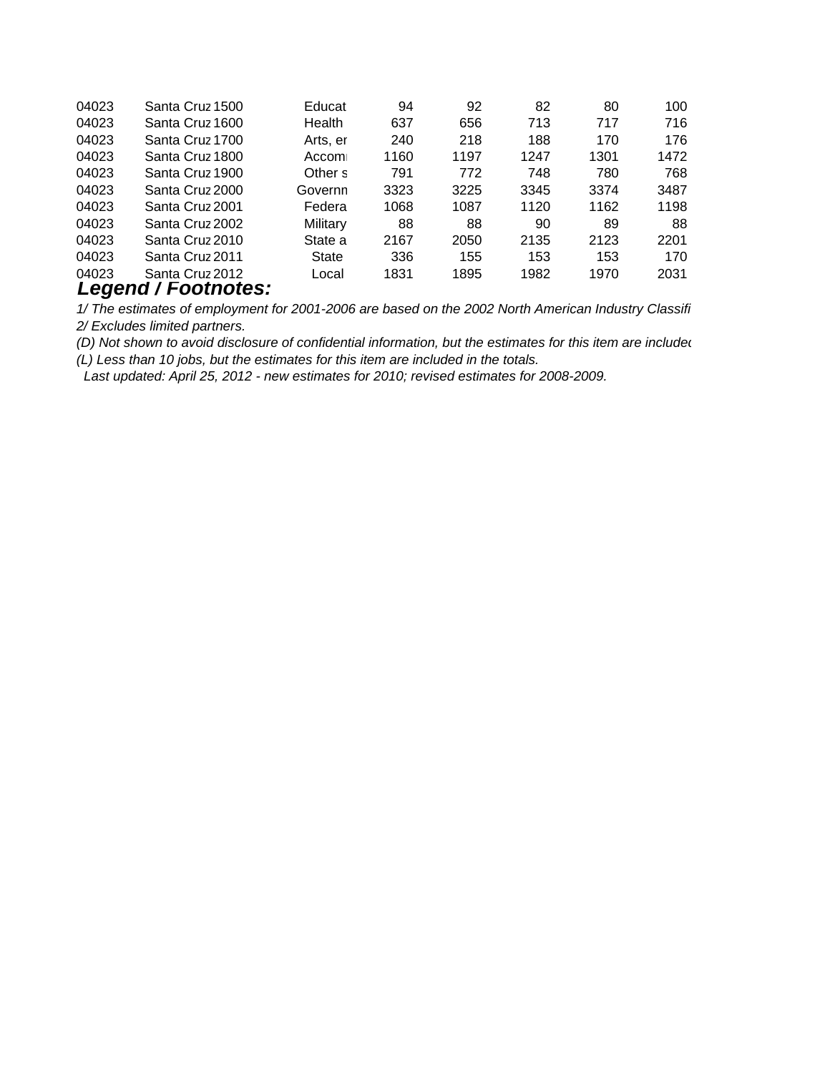| 04023 | Santa Cruz 1500     | Educat   | 94   | 92   | 82   | 80   | 100  |
|-------|---------------------|----------|------|------|------|------|------|
| 04023 | Santa Cruz 1600     | Health   | 637  | 656  | 713  | 717  | 716  |
| 04023 | Santa Cruz 1700     | Arts, er | 240  | 218  | 188  | 170  | 176  |
| 04023 | Santa Cruz 1800     | Accom    | 1160 | 1197 | 1247 | 1301 | 1472 |
| 04023 | Santa Cruz 1900     | Other s  | 791  | 772  | 748  | 780  | 768  |
| 04023 | Santa Cruz 2000     | Governn  | 3323 | 3225 | 3345 | 3374 | 3487 |
| 04023 | Santa Cruz 2001     | Federa   | 1068 | 1087 | 1120 | 1162 | 1198 |
| 04023 | Santa Cruz 2002     | Military | 88   | 88   | 90   | 89   | 88   |
| 04023 | Santa Cruz 2010     | State a  | 2167 | 2050 | 2135 | 2123 | 2201 |
| 04023 | Santa Cruz 2011     | State    | 336  | 155  | 153  | 153  | 170  |
| 04023 | Santa Cruz 2012     | Local    | 1831 | 1895 | 1982 | 1970 | 2031 |
|       | Legend / Footnotes: |          |      |      |      |      |      |

*1/ The estimates of employment for 2001-2006 are based on the 2002 North American Industry Classifi 2/ Excludes limited partners.*

*(L) Less than 10 jobs, but the estimates for this item are included in the totals. (D) Not shown to avoid disclosure of confidential information, but the estimates for this item are included* 

 *Last updated: April 25, 2012 - new estimates for 2010; revised estimates for 2008-2009.*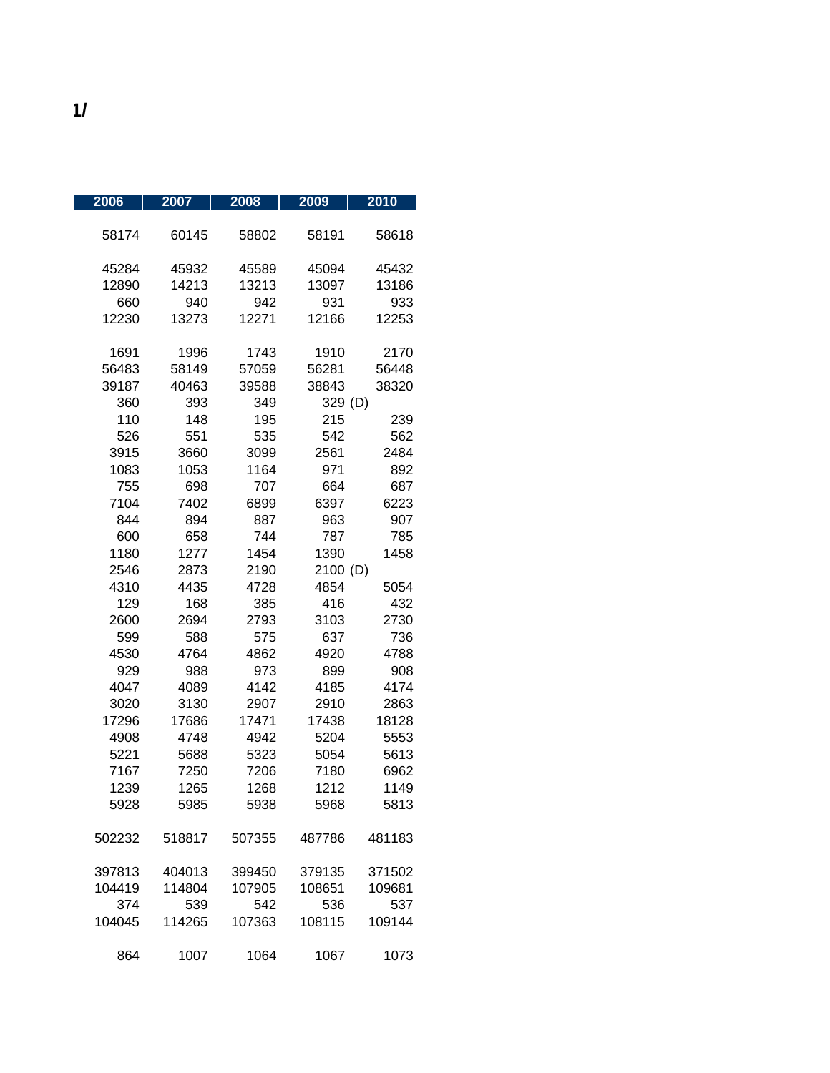| $\frac{2006}{ }$ | 2007   | 2008   | 2009     | 2010   |
|------------------|--------|--------|----------|--------|
| 58174            | 60145  | 58802  | 58191    | 58618  |
| 45284            | 45932  | 45589  | 45094    | 45432  |
| 12890            | 14213  | 13213  | 13097    | 13186  |
| 660              | 940    | 942    | 931      | 933    |
| 12230            | 13273  | 12271  | 12166    | 12253  |
|                  |        |        |          |        |
| 1691             | 1996   | 1743   | 1910     | 2170   |
| 56483            | 58149  | 57059  | 56281    | 56448  |
| 39187            | 40463  | 39588  | 38843    | 38320  |
| 360              | 393    | 349    | 329 (D)  |        |
| 110              | 148    | 195    | 215      | 239    |
| 526              | 551    | 535    | 542      | 562    |
| 3915             | 3660   | 3099   | 2561     | 2484   |
| 1083             | 1053   | 1164   | 971      | 892    |
| 755              | 698    | 707    | 664      | 687    |
| 7104             | 7402   | 6899   | 6397     | 6223   |
| 844              | 894    | 887    | 963      | 907    |
| 600              | 658    | 744    | 787      | 785    |
| 1180             | 1277   | 1454   | 1390     | 1458   |
| 2546             | 2873   | 2190   | 2100 (D) |        |
| 4310             | 4435   | 4728   | 4854     | 5054   |
| 129              | 168    | 385    | 416      | 432    |
| 2600             | 2694   | 2793   | 3103     | 2730   |
| 599              | 588    | 575    | 637      | 736    |
| 4530             | 4764   | 4862   | 4920     | 4788   |
| 929              | 988    | 973    | 899      | 908    |
| 4047             | 4089   | 4142   | 4185     | 4174   |
| 3020             | 3130   | 2907   | 2910     | 2863   |
| 17296            | 17686  | 17471  | 17438    | 18128  |
| 4908             | 4748   | 4942   | 5204     | 5553   |
| 5221             | 5688   | 5323   | 5054     | 5613   |
| 7167             | 7250   | 7206   | 7180     | 6962   |
| 1239             | 1265   | 1268   | 1212     | 1149   |
| 5928             | 5985   | 5938   | 5968     | 5813   |
|                  |        |        |          |        |
| 502232           | 518817 | 507355 | 487786   | 481183 |
| 397813           | 404013 | 399450 | 379135   | 371502 |
| 104419           | 114804 | 107905 | 108651   | 109681 |
| 374              | 539    | 542    | 536      | 537    |
| 104045           | 114265 | 107363 | 108115   | 109144 |
| 864              | 1007   | 1064   | 1067     | 1073   |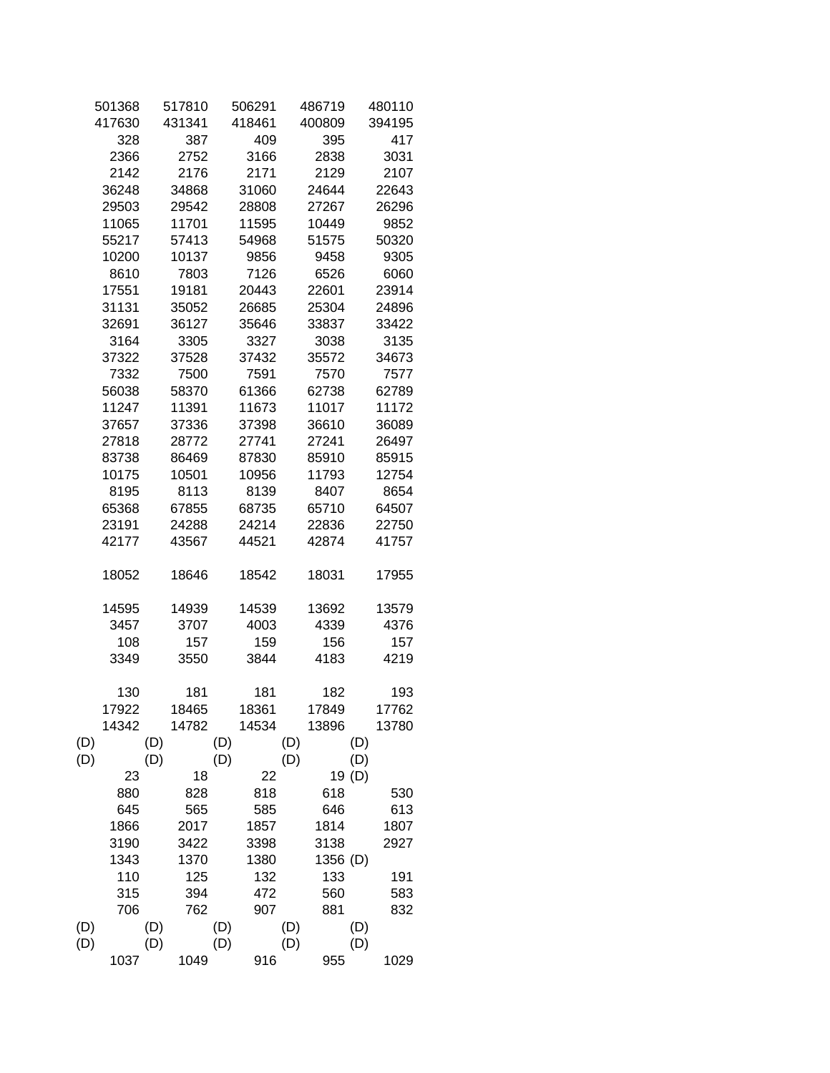|     | 501368 |     | 517810 |     | 506291 |     | 486719   |        | 480110 |  |
|-----|--------|-----|--------|-----|--------|-----|----------|--------|--------|--|
|     | 417630 |     | 431341 |     | 418461 |     | 400809   |        | 394195 |  |
|     | 328    |     | 387    |     | 409    |     | 395      |        | 417    |  |
|     | 2366   |     | 2752   |     | 3166   |     | 2838     |        | 3031   |  |
|     | 2142   |     | 2176   |     | 2171   |     | 2129     |        | 2107   |  |
|     | 36248  |     | 34868  |     | 31060  |     | 24644    |        | 22643  |  |
|     | 29503  |     | 29542  |     | 28808  |     | 27267    |        | 26296  |  |
|     | 11065  |     | 11701  |     | 11595  |     | 10449    |        | 9852   |  |
|     | 55217  |     | 57413  |     | 54968  |     | 51575    |        | 50320  |  |
|     | 10200  |     | 10137  |     | 9856   |     | 9458     |        | 9305   |  |
|     | 8610   |     | 7803   |     | 7126   |     | 6526     |        | 6060   |  |
|     | 17551  |     | 19181  |     | 20443  |     | 22601    |        | 23914  |  |
|     | 31131  |     | 35052  |     | 26685  |     | 25304    |        | 24896  |  |
|     | 32691  |     | 36127  |     | 35646  |     | 33837    |        | 33422  |  |
|     | 3164   |     | 3305   |     | 3327   |     | 3038     |        | 3135   |  |
|     | 37322  |     | 37528  |     | 37432  |     | 35572    |        | 34673  |  |
|     | 7332   |     | 7500   |     | 7591   |     | 7570     |        | 7577   |  |
|     | 56038  |     | 58370  |     | 61366  |     | 62738    |        | 62789  |  |
|     | 11247  |     | 11391  |     | 11673  |     | 11017    |        | 11172  |  |
|     | 37657  |     | 37336  |     | 37398  |     | 36610    |        | 36089  |  |
|     | 27818  |     | 28772  |     | 27741  |     | 27241    |        | 26497  |  |
|     | 83738  |     | 86469  |     | 87830  |     | 85910    |        | 85915  |  |
|     | 10175  |     | 10501  |     | 10956  |     | 11793    |        | 12754  |  |
|     | 8195   |     | 8113   |     | 8139   |     | 8407     |        | 8654   |  |
|     | 65368  |     | 67855  |     | 68735  |     | 65710    |        | 64507  |  |
|     | 23191  |     | 24288  |     | 24214  |     | 22836    |        | 22750  |  |
|     | 42177  |     | 43567  |     | 44521  |     | 42874    |        | 41757  |  |
|     |        |     |        |     |        |     |          |        |        |  |
|     | 18052  |     | 18646  |     | 18542  |     | 18031    |        | 17955  |  |
|     |        |     |        |     |        |     |          |        |        |  |
|     | 14595  |     | 14939  |     | 14539  |     | 13692    |        | 13579  |  |
|     | 3457   |     | 3707   |     | 4003   |     | 4339     |        | 4376   |  |
|     | 108    |     | 157    |     | 159    |     | 156      |        | 157    |  |
|     | 3349   |     | 3550   |     | 3844   |     | 4183     |        | 4219   |  |
|     |        |     |        |     |        |     |          |        |        |  |
|     | 130    |     | 181    |     | 181    |     | 182      |        | 193    |  |
|     | 17922  |     | 18465  |     | 18361  |     | 17849    |        | 17762  |  |
|     | 14342  |     | 14782  |     | 14534  |     | 13896    |        | 13780  |  |
| (D) |        | (D) |        | (D) |        | (D) |          | (D)    |        |  |
| (D) |        | (D) |        | (D) |        | (D) |          | (D)    |        |  |
|     | 23     |     | 18     |     | 22     |     |          | 19 (D) |        |  |
|     | 880    |     | 828    |     | 818    |     | 618      |        | 530    |  |
|     | 645    |     | 565    |     | 585    |     | 646      |        | 613    |  |
|     | 1866   |     | 2017   |     | 1857   |     | 1814     |        | 1807   |  |
|     | 3190   |     | 3422   |     | 3398   |     | 3138     |        | 2927   |  |
|     | 1343   |     | 1370   |     | 1380   |     | 1356 (D) |        |        |  |
|     | 110    |     | 125    |     | 132    |     | 133      |        | 191    |  |
|     | 315    |     | 394    |     | 472    |     | 560      |        | 583    |  |
|     | 706    |     | 762    |     | 907    |     | 881      |        | 832    |  |
| (D) |        | (D) |        | (D) |        | (D) |          | (D)    |        |  |
| (D) |        | (D) |        | (D) |        | (D) |          | (D)    |        |  |
|     | 1037   |     | 1049   |     | 916    |     | 955      |        | 1029   |  |